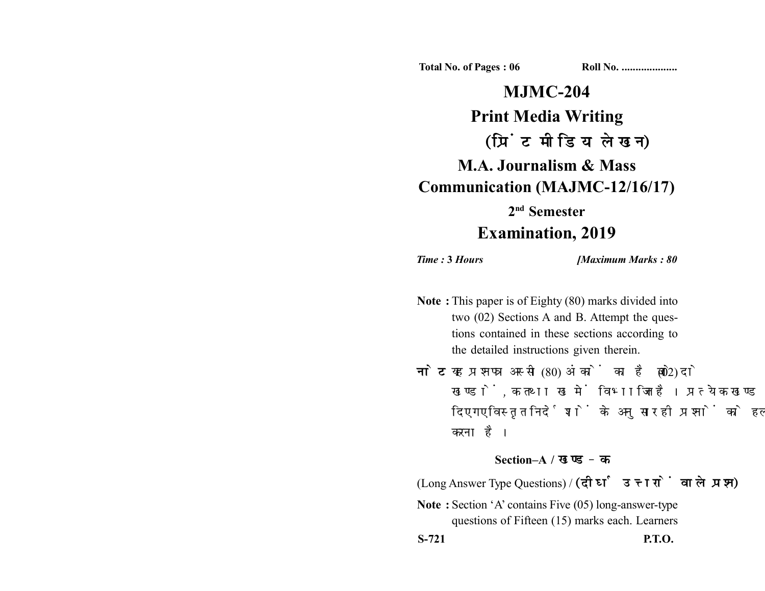**Total No. of Pages : 06 Roll No. ...................** 

**MJMC-204 Print Media Writing** (प्रिंट मीडिया लेखन) **M.A. Journalism & Mass Communication (MAJMC-12/16/17) 2nd Semester Examination, 2019**

*Time :* **3** *Hours [Maximum Marks : 80*

- **Note :** This paper is of Eighty (80) marks divided into two (02) Sections A and B. Attempt the questions contained in these sections according to the detailed instructions given therein.
- नोट: यह प्रश्नपत्र अस्सी (80) अंकों का है जो दो (02) खण्डों, क तथा ख में विभाजित है। प्रत्येक खण्ड में दिए गए विस्तृत निर्देशों के अनुसार ही प्रश्नों को हल करना है।

## **Section–A /**

(Long Answer Type Questions) /

**Note :** Section 'A' contains Five (05) long-answer-type questions of Fifteen (15) marks each. Learners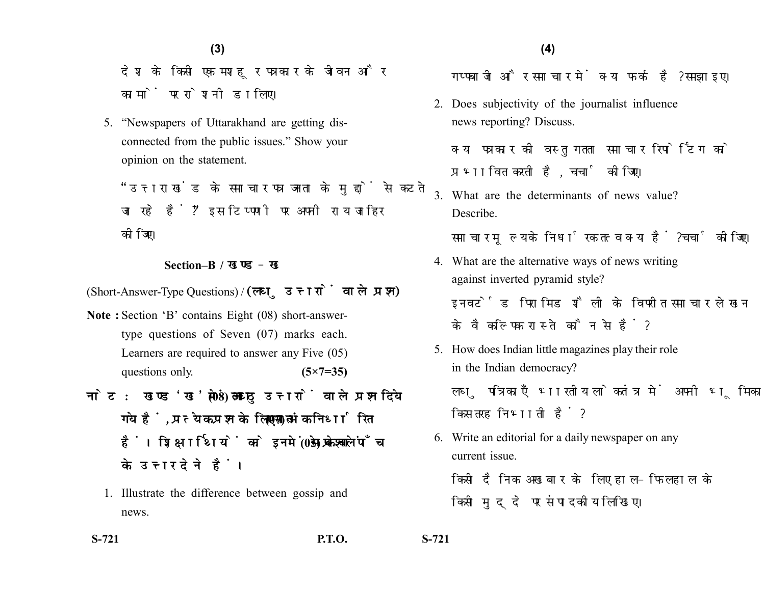देश के किसी एक मशहर पत्रकार के जीवन और कामों पर रोशनी डालिए।

5. "Newspapers of Uttarakhand are getting disconnected from the public issues." Show your opinion on the statement.

"उत्तराखंड के समाचार पत्र जनता के मुद्दों से कटते जा रहे हैं?" इस टिप्पणी पर अपनी राय जाहिर कोजिए।

## **Section–B /**

(Short-Answer-Type Questions) / (लघु उत्तरों वाले प्रश्न)

- **Note :** Section 'B' contains Eight (08) short-answertype questions of Seven (07) marks each. Learners are required to answer any Five (05) questions only. **(5×7=35)**
- नोट: खण्ड'ख'में आठ (08) लघु उत्तरों वाले प्रश्न दिये गये हैं, प्रत्येक प्रश्न के लिए सात (07) अंक निर्धारित हैं। शिक्षार्थियों को इनमें से केवल पाँच (05) प्रश्नों के उत्तर देने हैं।
	- 1. Illustrate the difference between gossip and news.

गप्पबाजी और समाचार में क्या फर्क है? समझाइए।

2. Does subjectivity of the journalist influence news reporting? Discuss.

क्या पत्रकार की वस्तुगतता समाचार रिपोर्टिंग को प्रभावित करती है. चर्चा कीजिए।

3. What are the determinants of news value? Describe.

समाचार मूल्य के निर्धारक तत्व क्या हैं? चर्चा कीजिए।

- 4. What are the alternative ways of news writing against inverted pyramid style? इनवर्टेड पिरामिड शैली के विपरीत समाचार लेखन के वैकल्पिक रास्ते कौन से हैं?
- 5. How does Indian little magazines play their role in the Indian democracy? लघु पत्रिकाएँ भारतीय लोकतंत्र में अपनी भूमिका किस तरह निभाती हैं?
- 6. Write an editorial for a daily newspaper on any current issue.

किसी दैनिक अखबार के लिए हाल-फिलहाल के किसी मुदुदे पर संपादकीय लिखिए।

**S-721 P.T.O. S-721**